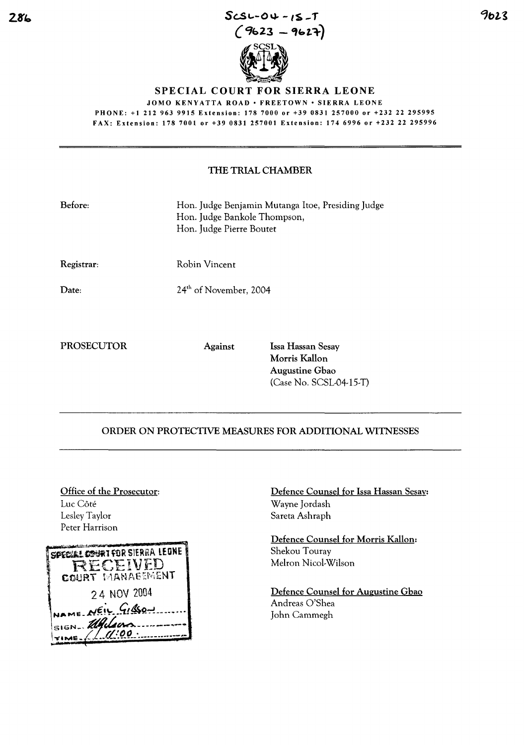

## SPECIAL COURT FOR SIERRA LEONE

JOMO KENYATTA ROAD · FREETOWN · SIERRA LEONE PHONE: +1 212963 9915 Extension: 1787000 or +39 0831 257000 or +232 22 295995 FAX: Extension: 1787001 or +39 0831 257001 Extension: 1746996 or +232 22 295996

## THE TRIAL CHAMBER

| Before:           | Hon. Judge Benjamin Mutanga Itoe, Presiding Judge<br>Hon. Judge Bankole Thompson,<br>Hon. Judge Pierre Boutet |                                    |
|-------------------|---------------------------------------------------------------------------------------------------------------|------------------------------------|
| Registrar:        | Robin Vincent                                                                                                 |                                    |
| Date:             | 24 <sup>th</sup> of November, 2004                                                                            |                                    |
| <b>PROSECUTOR</b> | <b>Against</b>                                                                                                | Issa Hassan Sesay<br>Morris Kallon |

Augustine Gbao

(Case No. SCSL-04-15-T)

## ORDER ON PROTECTIVE MEASURES FOR ADDITIONAL WITNESSES

Office of the Prosecutor: Luc Côté Lesley Taylor Peter Harrison



Defence Counsel for Issa Hassan Sesay: Wayne Jordash Sareta Ashraph

Defence Counsel for Morris Kallon: Shekou Touray Melron Nicol-Wilson

Defence Counsel for Augustine Gbao Andreas O'Shea John Cammegh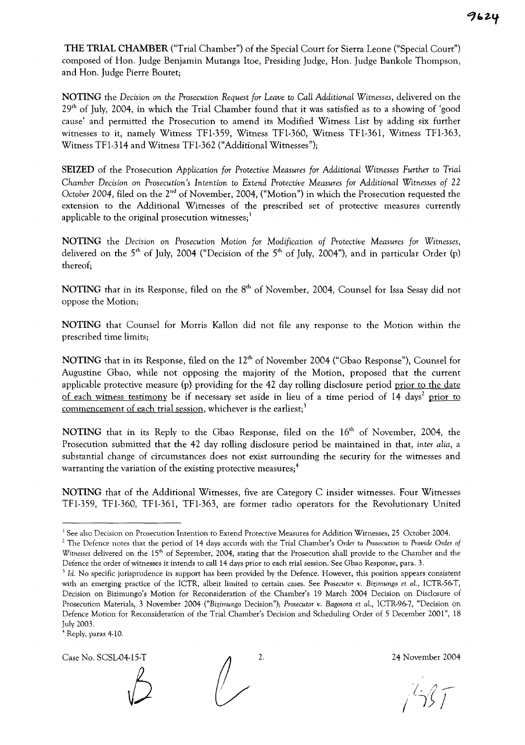THE TRIAL CHAMBER ("Trial Chamber") of the Special Court for Sierra Leone ("Special Court") composed of Hon. Judge Benjamin Mutanga Itoe, Presiding Judge, Hon. Judge Bankole Thompson, and Hon. Judge Pierre Boutet;

NOTING the *Decision* on *the Prosecution Request for Leave* to Can *Additional Witnesses,* delivered on the  $29<sup>th</sup>$  of July, 2004, in which the Trial Chamber found that it was satisfied as to a showing of 'good cause' and permitted the Prosecution to amend its Modified Witness List by adding six further witnesses to it, namely Witness TFl-359, Witness TFl-360, Witness TFl-361, Witness TFl-363, Witness TFl-314 and Witness TFl-362 ("Additional Witnesses");

SEIZED of the Prosecution *Application for Protective Measures for Additional Witnesses Further* to *Trial Chamber* Decision on *Prosecution's* Intention to *Extend Protective Measures for Additional Witnesses of 22 October 2004,* filed on the 2nd of November, 2004, ("Motion") in which the Prosecution requested the extension to the Additional Witnesses of the prescribed set of protective measures currently applicable to the original prosecution witnesses;<sup>1</sup>

NOTING the Decision on *Prosecution Motion for Modification of Protective Measures for Witnesses,* delivered on the  $5<sup>th</sup>$  of July, 2004 ("Decision of the  $5<sup>th</sup>$  of July, 2004"), and in particular Order (p) thereof;

NOTING that in its Response, filed on the 8<sup>th</sup> of November, 2004, Counsel for Issa Sesay did not oppose the Motion;

NOTING that Counsel for Morris Kallon did not file any response to the Motion within the prescribed time limits;

NOTING that in its Response, filed on the 12<sup>th</sup> of November 2004 ("Gbao Response"), Counsel for Augustine Gbao, while not opposing the majority of the Motion, proposed that the current applicable protective measure (p) providing for the 42 day rolling disclosure period prior to the date of each witness testimony be if necessary set aside in lieu of a time period of 14 days<sup>2</sup> prior to commencement of each trial session, whichever is the earliest;<sup>3</sup>

NOTING that in its Reply to the Gbao Response, filed on the 16<sup>th</sup> of November, 2004, the Prosecution submitted that the 42 day rolling disclosure period be maintained in that, *inter alia,* a substantial change of circumstances does not exist surrounding the security for the witnesses and warranting the variation of the existing protective measures;<sup>4</sup>

NOTING that of the Additional Witnesses, five are Category C insider witnesses. Four Witnesses TFl-359, TFl-360, TFl-361, TFl-363, are former radio operators for the Revolutionary United

<sup>4</sup> Reply, paras 4-10.

Case No. SCSL-04-15-T 2. 2. 24 November 2004

<sup>&</sup>lt;sup>1</sup> See also Decision on Prosecution Intention to Extend Protective Measures for Addition Witnesses, 25 October 2004.

<sup>2</sup> The Defence notes that the period of 14 days accords with the Trial Chamber's *Order* to Prosecution to *Provide Order of Witnesses* delivered on the 15<sup>th</sup> of September, 2004, stating that the Prosecution shall provide to the Chamber and the Defence the order of witnesses it intends to call 14 days prior to each trial session. See Gbao Response, para. 3.

<sup>&</sup>lt;sup>3</sup> Id. No specific jurisprudence in support has been provided by the Defence. However, this position appears consistent with an emerging practice of the ICTR, albeit limited to certain cases. See *Prosecutor v.* Bizimungo et aL, ICTR-56-T, Decision on Bizimungo's Motion for Reconsideration of the Chamber's 19 March 2004 Decision on Disclosure of Prosecution Materials, 3 November 2004 *("Bizimungo* Decision"); *Prosecutor v. Bagosora* et aL, ICTR-96-7, "Decision on Defence Motion for Reconsideration of the Triai Chambet's Decision and Scheduling Order of 5 December 2001", 18 July 2003.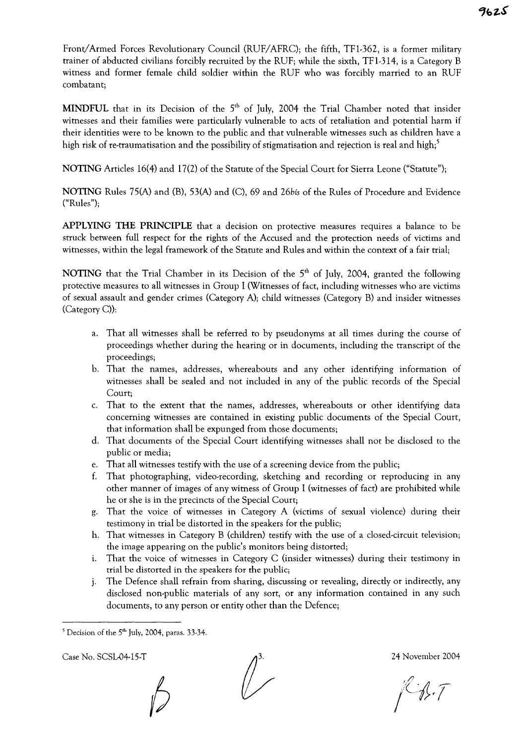Front/Armed Forces Revolutionary Council (RUF/AFRC); the fifth, TFl-362, is a former military trainer of abducted civilians forcibly recruited by the RUF; while the sixth, TFl-314, is a Category B witness and former female child soldier within the RUF who was forcibly married to an RUF combatant;

MINDFUL that in its Decision of the  $5<sup>th</sup>$  of July, 2004 the Trial Chamber noted that insider witnesses and their families were particularly vulnerable to acts of retaliation and potential harm if their identities were to be known to the public and that vulnerable witnesses such as children have a high risk of re-traumatisation and the possibility of stigmatisation and rejection is real and high;<sup>5</sup>

NOTING Articles 16(4) and 17(2) of the Statute of the Special Court for Sierra Leone ("Statute");

NOTING Rules 75(A) and (B), 53(A) and (C), 69 and *26bis* of the Rules of Procedure and Evidence ("Rules");

APPLYING THE PRINCIPLE that a decision on protective measures requires a balance to be struck between full respect for the rights of the Accused and the protection needs of victims and witnesses, within the legal framework of the Statute and Rules and within the context of a fair trial;

NOTING that the Trial Chamber in its Decision of the  $5<sup>th</sup>$  of July, 2004, granted the following protective measures to all witnesses in Group I (Witnesses of fact, including witnesses who are victims of sexual assault and gender crimes (Category A)j child witnesses (Category B) and insider witnesses (Category C));

- a. That all witnesses shall be referred to by pseudonyms at all times during the course of proceedings whether during the hearing or in documents, including the transcript of the proceedings;
- b. That the names, addresses, whereabouts and any other identifying information of witnesses shall be sealed and not included in any of the public records of the Special Court;
- c. That to the extent that the names, addresses, whereabouts or other identifying data concerning witnesses are contained in existing public documents of the Special Court, that information shall be expunged from those documents;
- d. That documents of the Special Court identifying witnesses shall not be disclosed to the public or media;
- e. That all witnesses testify with the use of a screening device from the public;
- f. That photographing, video-recording, sketching and recording or reproducing in any other manner of images of any witness of Group I (witnesses of fact) are prohibited while he or she is in the precincts of the Special Court;
- g. That the voice of witnesses in Category A (victims of sexual violence) during their testimony in trial be distorted in the speakers for the public;
- h. That witnesses in Category B (children) testify with the use of a closed-circuit television; the image appearing on the public's monitors being distorted;
- 1. That the voice of witnesses in Category C (insider witnesses) during their testimony in trial be distorted in the speakers for the public;
- j. The Defence shall refrain from sharing, discussing or revealing, directly or indirectly, any disclosed non-public materials of any sort, or any information contained in any such documents, to any person or entity other than the Defence;

Case No. SCSL04-15-T 24 November 2004

GJ. T

 $5$  Decision of the  $5<sup>th</sup>$  July, 2004, paras. 33-34.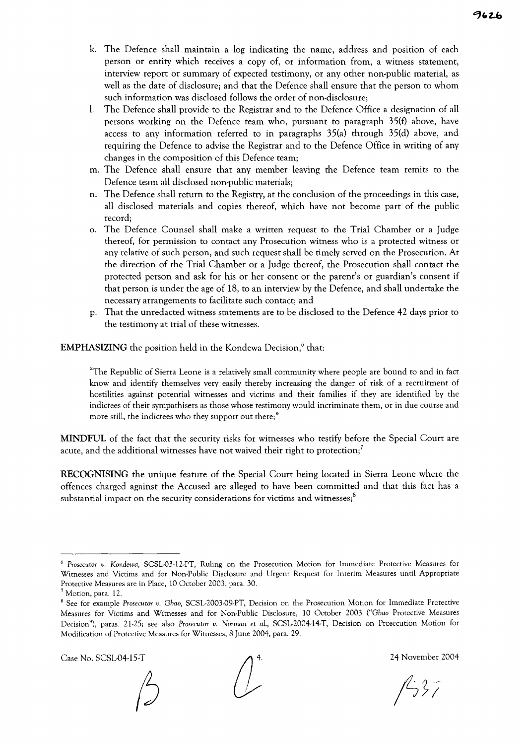- k. The Defence shall maintain a log indicating the name, address and position of each person or entity which receives a copy of, or information from, a witness statement, interview report or summary of expected testimony, or any other non-public material, as well as the date of disclosure; and that the Defence shall ensure that the person to whom such information was disclosed follows the order of non-disclosure;
- 1. The Defence shall provide to the Registrar and to the Defence Office a designation of all persons working on the Defence team who, pursuant to paragraph 35(f) above, have access to any information referred to in paragraphs 35(a) through 35(d) above, and requiring the Defence to advise the Registrar and to the Defence Office in writing of any changes in the composition of this Defence team;
- m. The Defence shall ensure that any member leaving the Defence team remits to the Defence team all disclosed non-public materials;
- n. The Defence shall return to the Registry, at the conclusion of the proceedings in this case, all disclosed materials and copies thereof, which have not become part of the public record;
- o. The Defence Counsel shall make a written request to the Trial Chamber or a Judge thereof, for permission to contact any Prosecution witness who is a protected witness or any relative of such person, and such request shall be timely served on the Prosecution. At the direction of the Trial Chamber or a Judge thereof, the Prosecution shall contact the protected person and ask for his or her consent or the parent's or guardian's consent if that person is under the age of 18, to an interview by the Defence, and shall undertake the necessary arrangements to facilitate such contact; and
- p. That the unredacted witness statements are to be disclosed to the Defence 42 days prior to the testimony at trial of these witnesses.

**EMPHASIZING** the position held in the Kondewa Decision,<sup>6</sup> that:

"The Republic of Sierra Leone is a relatively small community where people are bound to and in fact know and identify themselves very easily thereby increasing the danger of risk of a recruitment of hostilities against potential witnesses and victims and their families if they are identified by the indictees of their sympathisers as those whose testimony would incriminate them, or in due course and more still, the indictees who they support out there;"

**MINDFUL** of the fact that the security risks for witnesses who testify before the Special Court are acute, and the additional witnesses have not waived their right to protection;<sup>7</sup>

**RECOGNISING** the unique feature of the Special Court being located in Sierra Leone where the offences charged against the Accused are alleged to have been committed and that this fact has a substantial impact on the security considerations for victims and witnesses; $8$ 

Case No. SCSL04-15-T  $\bigwedge$  4. 24 November 2004

<sup>6</sup> *Prosecutor v. Kondewa,* SCSL-03-12-PT, Ruling on the Prosecution Motion for Immediate Protective Measures for Witnesses and Victims and for Non-Public Disclosure and Urgent Request for Interim Measures until Appropriate Protective Measures are in Place, 10 October 2003, para. 30.

<sup>7</sup> Motion, para. 12.

<sup>8</sup> See for example *Prosecutor v. Gbao,* SCSL-2003-09-PT, Decision on the Prosecution Motion for Immediate Protective Measures for Victims and Witnesses and for Non-Public Disclosure, 10 October 2003 *("Gbao* Protective Measures Decision"), paras. 21-25; see also *Prosecutor v. Norman* et aL, SCSL-2004-14-T, Decision on Prosecution Motion for Modification of Protective Measures for Witnesses, 8 June 2004, para. 29.